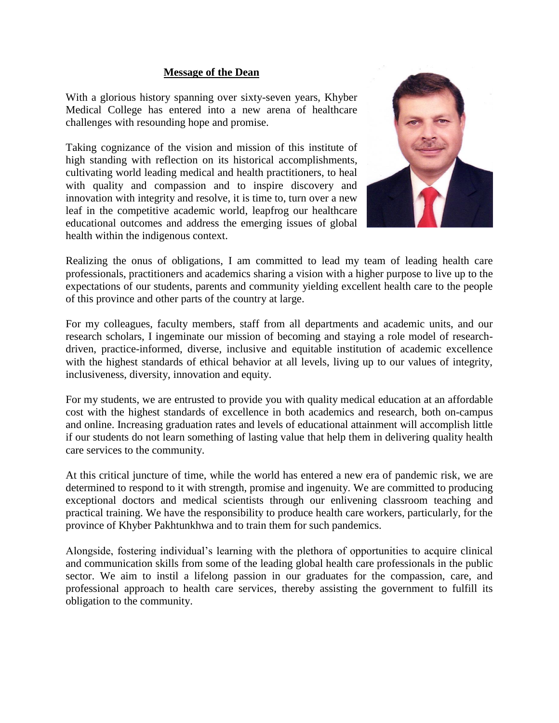## **Message of the Dean**

With a glorious history spanning over sixty-seven years, Khyber Medical College has entered into a new arena of healthcare challenges with resounding hope and promise.

Taking cognizance of the vision and mission of this institute of high standing with reflection on its historical accomplishments, cultivating world leading medical and health practitioners, to heal with quality and compassion and to inspire discovery and innovation with integrity and resolve, it is time to, turn over a new leaf in the competitive academic world, leapfrog our healthcare educational outcomes and address the emerging issues of global health within the indigenous context.



Realizing the onus of obligations, I am committed to lead my team of leading health care professionals, practitioners and academics sharing a vision with a higher purpose to live up to the expectations of our students, parents and community yielding excellent health care to the people of this province and other parts of the country at large.

For my colleagues, faculty members, staff from all departments and academic units, and our research scholars, I ingeminate our mission of becoming and staying a role model of researchdriven, practice-informed, diverse, inclusive and equitable institution of academic excellence with the highest standards of ethical behavior at all levels, living up to our values of integrity, inclusiveness, diversity, innovation and equity.

For my students, we are entrusted to provide you with quality medical education at an affordable cost with the highest standards of excellence in both academics and research, both on-campus and online. Increasing graduation rates and levels of educational attainment will accomplish little if our students do not learn something of lasting value that help them in delivering quality health care services to the community.

At this critical juncture of time, while the world has entered a new era of pandemic risk, we are determined to respond to it with strength, promise and ingenuity. We are committed to producing exceptional doctors and medical scientists through our enlivening classroom teaching and practical training. We have the responsibility to produce health care workers, particularly, for the province of Khyber Pakhtunkhwa and to train them for such pandemics.

Alongside, fostering individual's learning with the plethora of opportunities to acquire clinical and communication skills from some of the leading global health care professionals in the public sector. We aim to instil a lifelong passion in our graduates for the compassion, care, and professional approach to health care services, thereby assisting the government to fulfill its obligation to the community.